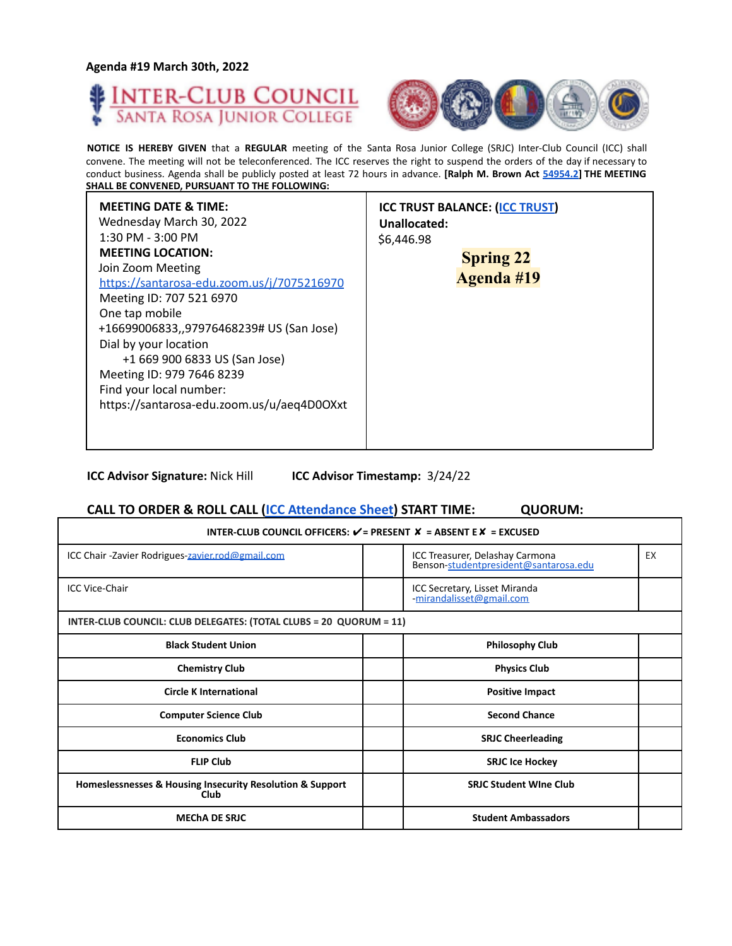**Agenda #19 March 30th, 2022**





**NOTICE IS HEREBY GIVEN** that a **REGULAR** meeting of the Santa Rosa Junior College (SRJC) Inter-Club Council (ICC) shall convene. The meeting will not be teleconferenced. The ICC reserves the right to suspend the orders of the day if necessary to conduct business. Agenda shall be publicly posted at least 72 hours in advance. **[Ralph M. Brown Act 54954.2] THE MEETING SHALL BE CONVENED, PURSUANT TO THE FOLLOWING:**

| Wednesday March 30, 2022<br>Unallocated:<br>$1:30$ PM - $3:00$ PM<br>\$6,446.98<br><b>MEETING LOCATION:</b><br><b>Spring 22</b><br>Join Zoom Meeting<br><b>Agenda #19</b><br>https://santarosa-edu.zoom.us/j/7075216970<br>Meeting ID: 707 521 6970<br>One tap mobile<br>+16699006833,,97976468239# US (San Jose)<br>Dial by your location<br>+1 669 900 6833 US (San Jose)<br>Meeting ID: 979 7646 8239<br>Find your local number:<br>https://santarosa-edu.zoom.us/u/aeq4D0OXxt |  |
|-----------------------------------------------------------------------------------------------------------------------------------------------------------------------------------------------------------------------------------------------------------------------------------------------------------------------------------------------------------------------------------------------------------------------------------------------------------------------------------|--|
|-----------------------------------------------------------------------------------------------------------------------------------------------------------------------------------------------------------------------------------------------------------------------------------------------------------------------------------------------------------------------------------------------------------------------------------------------------------------------------------|--|

**ICC Advisor Signature:** Nick Hill **ICC Advisor Timestamp:** 3/24/22

### **CALL TO ORDER & ROLL CALL (ICC Attendance Sheet) START TIME: QUORUM:**

| INTER-CLUB COUNCIL OFFICERS: $V =$ PRESENT $X =$ ABSENT E $X =$ EXCUSED |  |                                                                          |    |
|-------------------------------------------------------------------------|--|--------------------------------------------------------------------------|----|
| ICC Chair - Zavier Rodrigues-zavier.rod@gmail.com                       |  | ICC Treasurer, Delashay Carmona<br>Benson-studentpresident@santarosa.edu | EX |
| <b>ICC Vice-Chair</b>                                                   |  | ICC Secretary, Lisset Miranda<br>mirandalisset@gmail.com                 |    |
| INTER-CLUB COUNCIL: CLUB DELEGATES: (TOTAL CLUBS = 20 QUORUM = 11)      |  |                                                                          |    |
| <b>Black Student Union</b>                                              |  | <b>Philosophy Club</b>                                                   |    |
| <b>Chemistry Club</b>                                                   |  | <b>Physics Club</b>                                                      |    |
| <b>Circle K International</b>                                           |  | <b>Positive Impact</b>                                                   |    |
| <b>Computer Science Club</b>                                            |  | <b>Second Chance</b>                                                     |    |
| <b>Economics Club</b>                                                   |  | <b>SRJC Cheerleading</b>                                                 |    |
| <b>FLIP Club</b>                                                        |  | <b>SRJC Ice Hockey</b>                                                   |    |
| Homeslessnesses & Housing Insecurity Resolution & Support<br>Club       |  | <b>SRJC Student Wine Club</b>                                            |    |
| <b>MECHA DE SRJC</b>                                                    |  | <b>Student Ambassadors</b>                                               |    |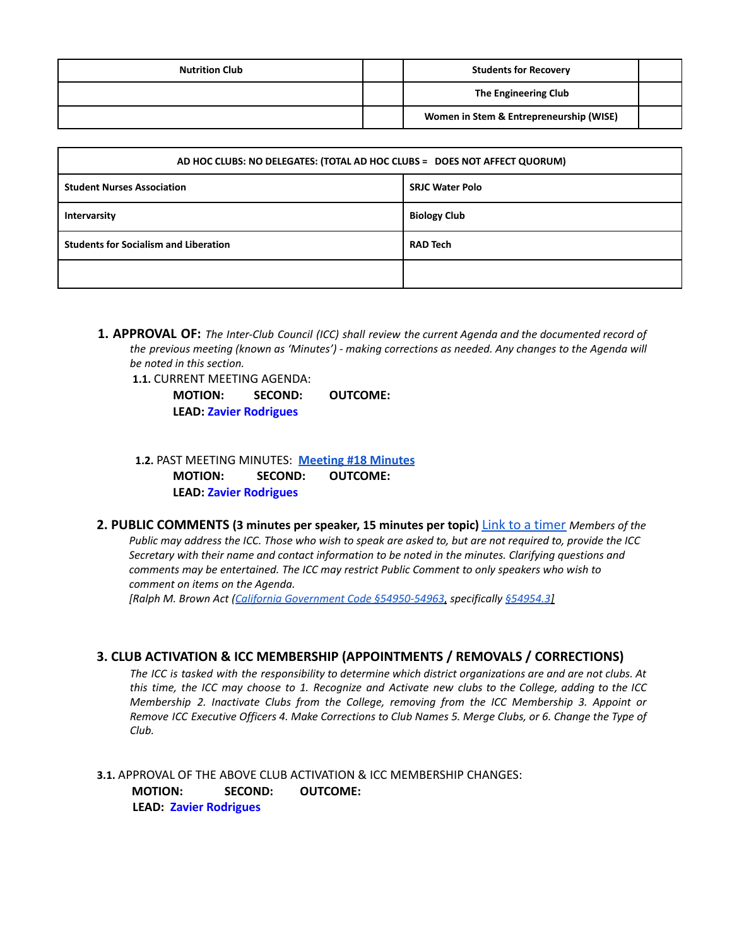| <b>Nutrition Club</b> | <b>Students for Recovery</b>            |  |
|-----------------------|-----------------------------------------|--|
|                       | The Engineering Club                    |  |
|                       | Women in Stem & Entrepreneurship (WISE) |  |

| AD HOC CLUBS: NO DELEGATES: (TOTAL AD HOC CLUBS = DOES NOT AFFECT QUORUM) |                        |  |
|---------------------------------------------------------------------------|------------------------|--|
| <b>Student Nurses Association</b>                                         | <b>SRJC Water Polo</b> |  |
| Intervarsity                                                              | <b>Biology Club</b>    |  |
| <b>Students for Socialism and Liberation</b>                              | <b>RAD Tech</b>        |  |
|                                                                           |                        |  |

**1. APPROVAL OF:** *The Inter-Club Council (ICC) shall review the current Agenda and the documented record of the previous meeting (known as 'Minutes') - making corrections as needed. Any changes to the Agenda will be noted in this section.*

**1.1.** CURRENT MEETING AGENDA:

**MOTION: SECOND: OUTCOME: LEAD: Zavier Rodrigues**

**1.2.** PAST MEETING MINUTES: **[Meeting](https://docs.google.com/document/d/1HT8eWtWEOOciWkK38Tk_X9c6xazL2pyBChKhcDDsCOg/edit?usp=sharing) #18 Minutes MOTION: SECOND: OUTCOME: LEAD: Zavier Rodrigues**

**2. PUBLIC COMMENTS (3 minutes per speaker, 15 minutes per topic)** Link to a timer *Members of the* Public may address the ICC. Those who wish to speak are asked to, but are not required to, provide the ICC *Secretary with their name and contact information to be noted in the minutes. Clarifying questions and comments may be entertained. The ICC may restrict Public Comment to only speakers who wish to comment on items on the Agenda.*

*[Ralph M. Brown Act (California Government Code §54950-54963, specifically §54954.3]*

### **3. CLUB ACTIVATION & ICC MEMBERSHIP (APPOINTMENTS / REMOVALS / CORRECTIONS)**

The ICC is tasked with the responsibility to determine which district organizations are and are not clubs. At this time, the ICC may choose to 1. Recognize and Activate new clubs to the College, adding to the ICC *Membership 2. Inactivate Clubs from the College, removing from the ICC Membership 3. Appoint or* Remove ICC Executive Officers 4. Make Corrections to Club Names 5. Merge Clubs, or 6. Change the Type of *Club.*

**3.1.** APPROVAL OF THE ABOVE CLUB ACTIVATION & ICC MEMBERSHIP CHANGES: **MOTION: SECOND: OUTCOME: LEAD: Zavier Rodrigues**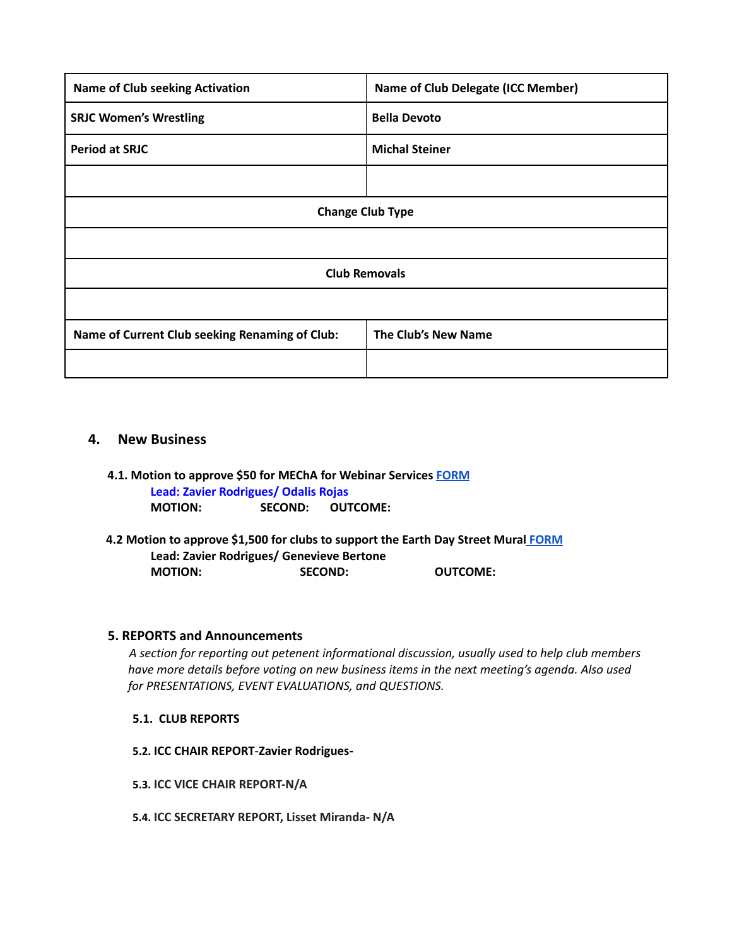| <b>Name of Club seeking Activation</b>         | Name of Club Delegate (ICC Member) |  |
|------------------------------------------------|------------------------------------|--|
| <b>SRJC Women's Wrestling</b>                  | <b>Bella Devoto</b>                |  |
| <b>Period at SRJC</b>                          | <b>Michal Steiner</b>              |  |
|                                                |                                    |  |
| <b>Change Club Type</b>                        |                                    |  |
|                                                |                                    |  |
| <b>Club Removals</b>                           |                                    |  |
|                                                |                                    |  |
| Name of Current Club seeking Renaming of Club: | The Club's New Name                |  |
|                                                |                                    |  |

## **4. New Business**

- **4.1. Motion to approve \$50 for MEChA for Webinar Services [FORM](https://drive.google.com/file/d/1xM1ttcalAEYzl7y7lNJ4VYrEKHm7a8ih/view?usp=sharing) Lead: Zavier Rodrigues/ Odalis Rojas MOTION: SECOND: OUTCOME:**
- **4.2 Motion to approve \$1,500 for clubs to support the Earth Day Street Mural [FORM](https://drive.google.com/file/d/1rgnMyEobU5s88Jw3LL04pllK5RZ1A81J/view?usp=sharing) Lead: Zavier Rodrigues/ Genevieve Bertone MOTION: SECOND: OUTCOME:**

### **5. REPORTS and Announcements**

*A section for reporting out petenent informational discussion, usually used to help club members have more details before voting on new business items in the next meeting's agenda. Also used for PRESENTATIONS, EVENT EVALUATIONS, and QUESTIONS.*

- **5.1. CLUB REPORTS**
- **5.2. ICC CHAIR REPORT**-**Zavier Rodrigues-**
- **5.3. ICC VICE CHAIR REPORT-N/A**
- **5.4. ICC SECRETARY REPORT, Lisset Miranda- N/A**